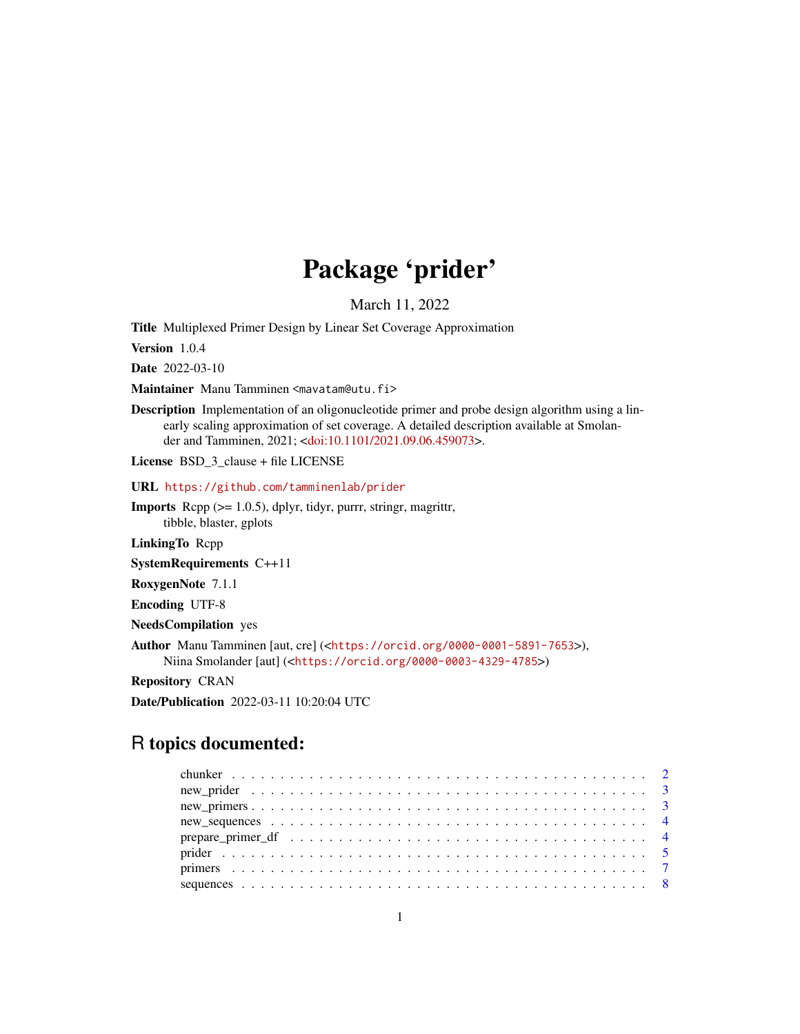## Package 'prider'

March 11, 2022

Title Multiplexed Primer Design by Linear Set Coverage Approximation

Version 1.0.4

Date 2022-03-10

Maintainer Manu Tamminen <mavatam@utu.fi>

Description Implementation of an oligonucleotide primer and probe design algorithm using a linearly scaling approximation of set coverage. A detailed description available at Smolander and Tamminen, 2021; [<doi:10.1101/2021.09.06.459073>](https://doi.org/10.1101/2021.09.06.459073).

License BSD 3 clause + file LICENSE

URL <https://github.com/tamminenlab/prider>

**Imports** Rcpp  $(>= 1.0.5)$ , dplyr, tidyr, purrr, stringr, magrittr, tibble, blaster, gplots

LinkingTo Rcpp

SystemRequirements C++11

RoxygenNote 7.1.1

Encoding UTF-8

NeedsCompilation yes

Author Manu Tamminen [aut, cre] (<<https://orcid.org/0000-0001-5891-7653>>), Niina Smolander [aut] (<<https://orcid.org/0000-0003-4329-4785>>)

Repository CRAN

Date/Publication 2022-03-11 10:20:04 UTC

## R topics documented: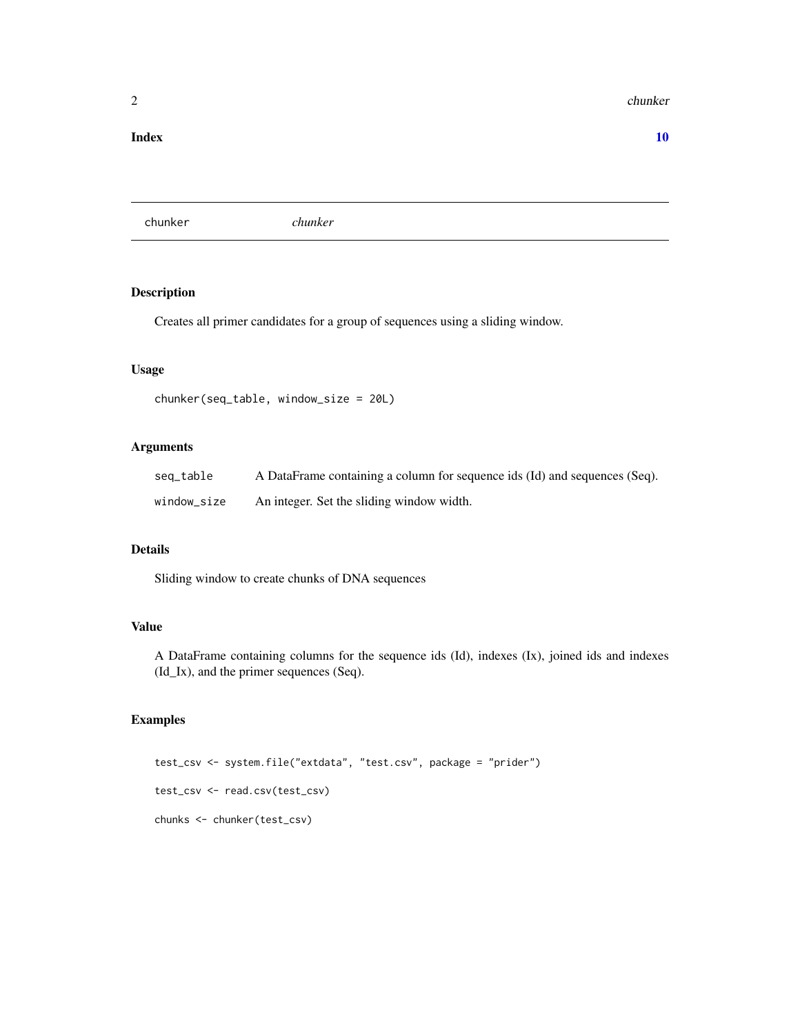#### <span id="page-1-0"></span>2 chunker that the chunker of the chunker of the chunker of the chunker of the chunker of the chunker

#### $\blacksquare$

chunker *chunker*

## Description

Creates all primer candidates for a group of sequences using a sliding window.

#### Usage

```
chunker(seq_table, window_size = 20L)
```
## Arguments

| seq_table   | A DataFrame containing a column for sequence ids (Id) and sequences (Seq). |
|-------------|----------------------------------------------------------------------------|
| window_size | An integer. Set the sliding window width.                                  |

## Details

Sliding window to create chunks of DNA sequences

#### Value

A DataFrame containing columns for the sequence ids (Id), indexes (Ix), joined ids and indexes (Id\_Ix), and the primer sequences (Seq).

## Examples

```
test_csv <- system.file("extdata", "test.csv", package = "prider")
test_csv <- read.csv(test_csv)
chunks <- chunker(test_csv)
```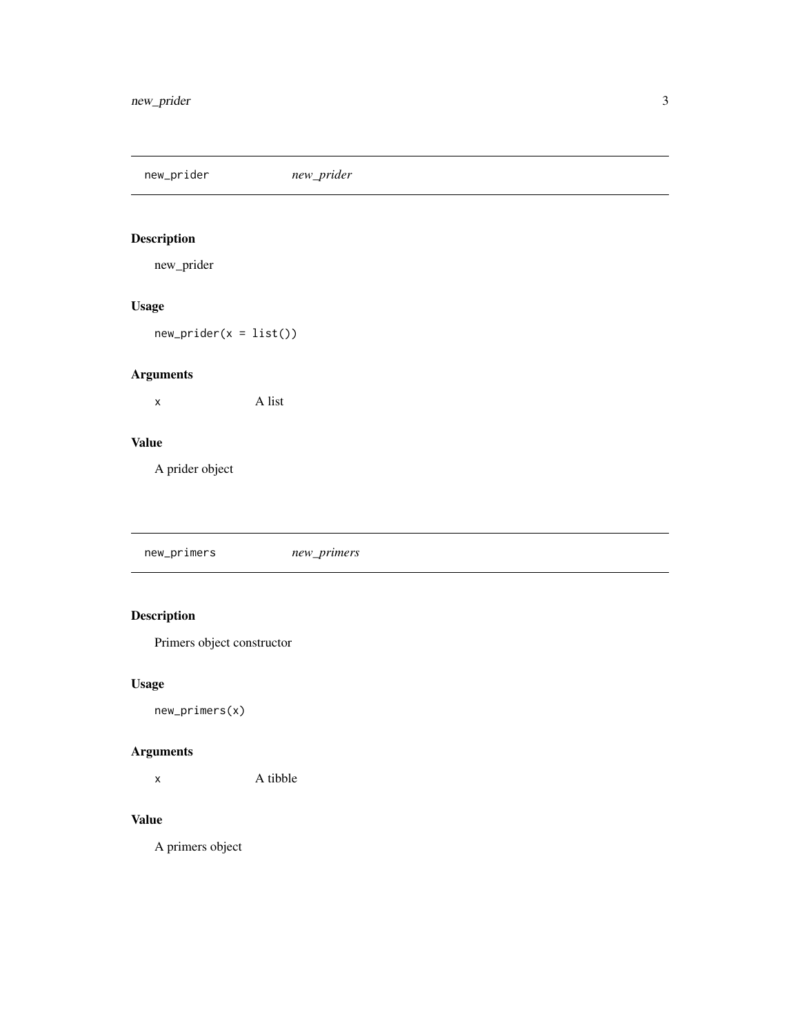<span id="page-2-0"></span>new\_prider *new\_prider*

## Description

new\_prider

## Usage

 $new\_prider(x = list())$ 

## Arguments

x A list

## Value

A prider object

new\_primers *new\_primers*

## Description

Primers object constructor

## Usage

new\_primers(x)

## Arguments

x A tibble

## Value

A primers object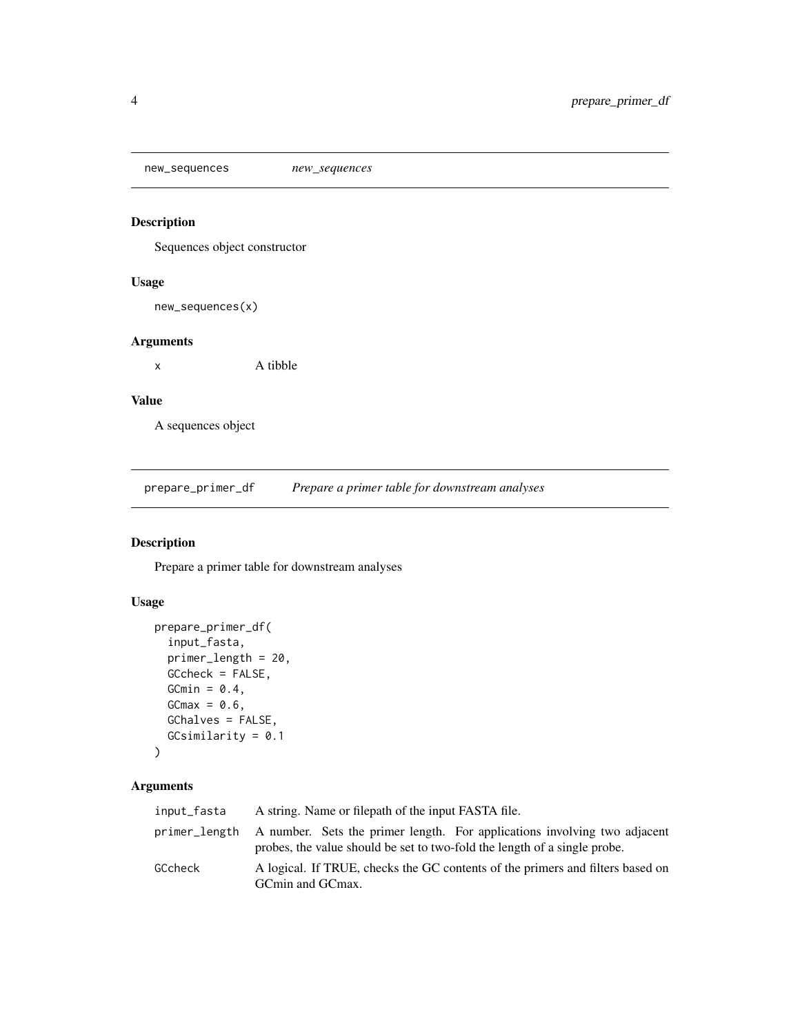<span id="page-3-0"></span>new\_sequences *new\_sequences*

## Description

Sequences object constructor

#### Usage

new\_sequences(x)

## Arguments

x A tibble

#### Value

A sequences object

prepare\_primer\_df *Prepare a primer table for downstream analyses*

## Description

Prepare a primer table for downstream analyses

## Usage

```
prepare_primer_df(
  input_fasta,
 primer_length = 20,
 GCcheck = FALSE,
 GCmin = 0.4,
 GCmax = 0.6,
 GChalves = FALSE,
  GCsimilarity = 0.1
)
```
## Arguments

| input_fasta   | A string. Name or filepath of the input FASTA file.                                                                                                    |  |
|---------------|--------------------------------------------------------------------------------------------------------------------------------------------------------|--|
| primer_length | A number. Sets the primer length. For applications involving two adjacent<br>probes, the value should be set to two-fold the length of a single probe. |  |
| GCcheck       | A logical. If TRUE, checks the GC contents of the primers and filters based on<br>GCmin and GCmax.                                                     |  |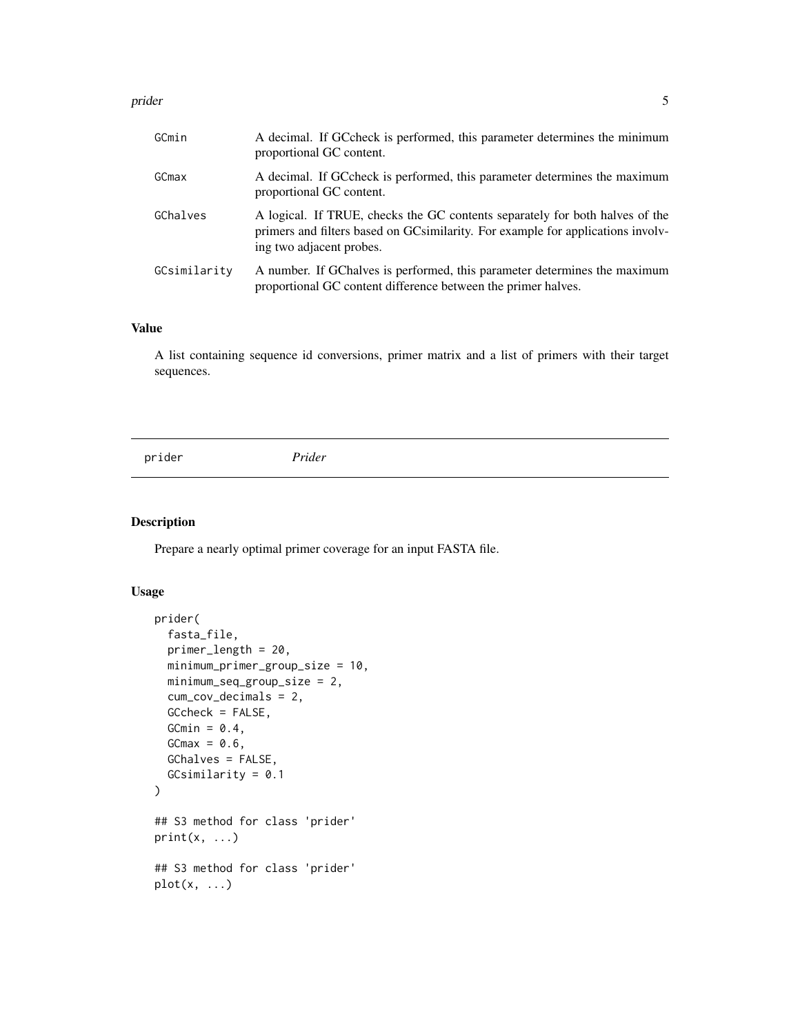#### <span id="page-4-0"></span>prider that the set of the set of the set of the set of the set of the set of the set of the set of the set of

| GCmin        | A decimal. If GCcheck is performed, this parameter determines the minimum<br>proportional GC content.                                                                                       |
|--------------|---------------------------------------------------------------------------------------------------------------------------------------------------------------------------------------------|
| GCmax        | A decimal. If GCcheck is performed, this parameter determines the maximum<br>proportional GC content.                                                                                       |
| GChalves     | A logical. If TRUE, checks the GC contents separately for both halves of the<br>primers and filters based on GCsimilarity. For example for applications involv-<br>ing two adjacent probes. |
| GCsimilarity | A number. If GChalves is performed, this parameter determines the maximum<br>proportional GC content difference between the primer halves.                                                  |

## Value

A list containing sequence id conversions, primer matrix and a list of primers with their target sequences.

prider *Prider*

## Description

Prepare a nearly optimal primer coverage for an input FASTA file.

#### Usage

```
prider(
  fasta_file,
  primer_length = 20,
 minimum_primer_group_size = 10,
 minimum_seq_group_size = 2,
  cum_cov_decimals = 2,
  GCcheck = FALSE,
 GCmin = 0.4,
  GCmax = 0.6,
  GChalves = FALSE,
  GCsimilarity = 0.1\mathcal{L}## S3 method for class 'prider'
print(x, \ldots)## S3 method for class 'prider'
plot(x, \ldots)
```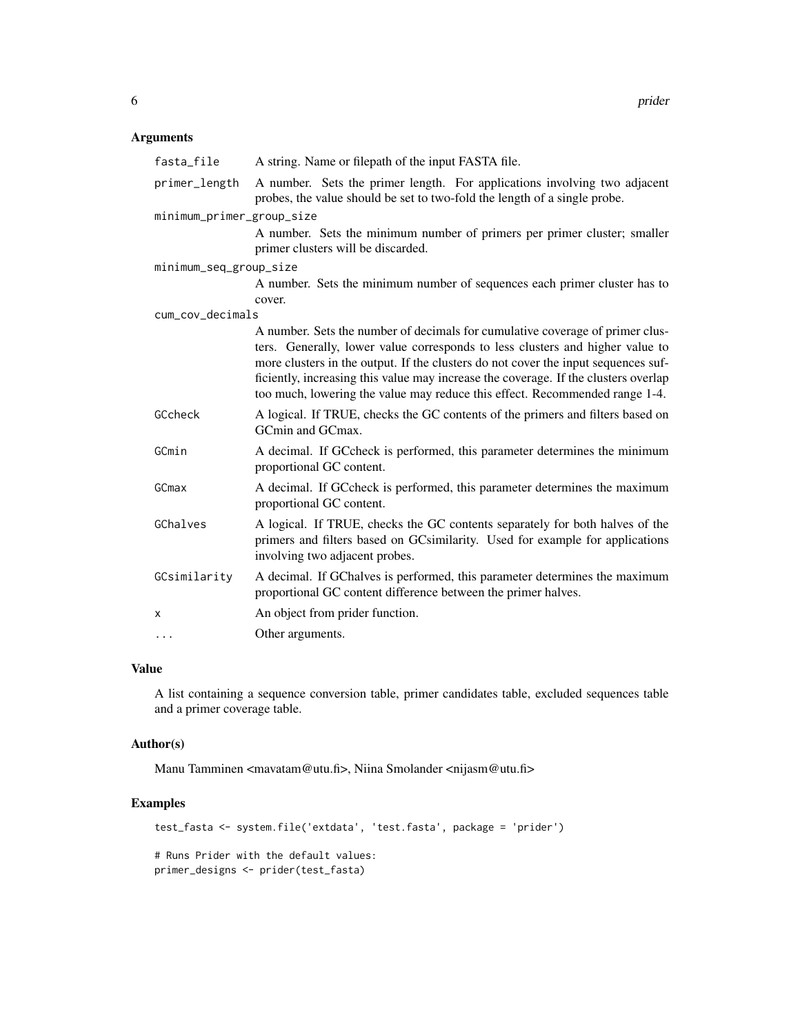## Arguments

| fasta_file                | A string. Name or filepath of the input FASTA file.                                                                                                                                                                                                                                                                                                                                                                        |  |  |
|---------------------------|----------------------------------------------------------------------------------------------------------------------------------------------------------------------------------------------------------------------------------------------------------------------------------------------------------------------------------------------------------------------------------------------------------------------------|--|--|
| primer_length             | A number. Sets the primer length. For applications involving two adjacent<br>probes, the value should be set to two-fold the length of a single probe.                                                                                                                                                                                                                                                                     |  |  |
| minimum_primer_group_size |                                                                                                                                                                                                                                                                                                                                                                                                                            |  |  |
|                           | A number. Sets the minimum number of primers per primer cluster; smaller<br>primer clusters will be discarded.                                                                                                                                                                                                                                                                                                             |  |  |
| minimum_seq_group_size    |                                                                                                                                                                                                                                                                                                                                                                                                                            |  |  |
|                           | A number. Sets the minimum number of sequences each primer cluster has to<br>cover.                                                                                                                                                                                                                                                                                                                                        |  |  |
| cum_cov_decimals          |                                                                                                                                                                                                                                                                                                                                                                                                                            |  |  |
|                           | A number. Sets the number of decimals for cumulative coverage of primer clus-<br>ters. Generally, lower value corresponds to less clusters and higher value to<br>more clusters in the output. If the clusters do not cover the input sequences suf-<br>ficiently, increasing this value may increase the coverage. If the clusters overlap<br>too much, lowering the value may reduce this effect. Recommended range 1-4. |  |  |
| GCcheck                   | A logical. If TRUE, checks the GC contents of the primers and filters based on<br>GCmin and GCmax.                                                                                                                                                                                                                                                                                                                         |  |  |
| GCmin                     | A decimal. If GCcheck is performed, this parameter determines the minimum<br>proportional GC content.                                                                                                                                                                                                                                                                                                                      |  |  |
| GCmax                     | A decimal. If GC check is performed, this parameter determines the maximum<br>proportional GC content.                                                                                                                                                                                                                                                                                                                     |  |  |
| GChalves                  | A logical. If TRUE, checks the GC contents separately for both halves of the<br>primers and filters based on GCsimilarity. Used for example for applications<br>involving two adjacent probes.                                                                                                                                                                                                                             |  |  |
| GCsimilarity              | A decimal. If GChalves is performed, this parameter determines the maximum<br>proportional GC content difference between the primer halves.                                                                                                                                                                                                                                                                                |  |  |
| X                         | An object from prider function.                                                                                                                                                                                                                                                                                                                                                                                            |  |  |
| $\cdots$                  | Other arguments.                                                                                                                                                                                                                                                                                                                                                                                                           |  |  |

## Value

A list containing a sequence conversion table, primer candidates table, excluded sequences table and a primer coverage table.

#### Author(s)

Manu Tamminen <mavatam@utu.fi>, Niina Smolander <nijasm@utu.fi>

## Examples

```
test_fasta <- system.file('extdata', 'test.fasta', package = 'prider')
# Runs Prider with the default values:
primer_designs <- prider(test_fasta)
```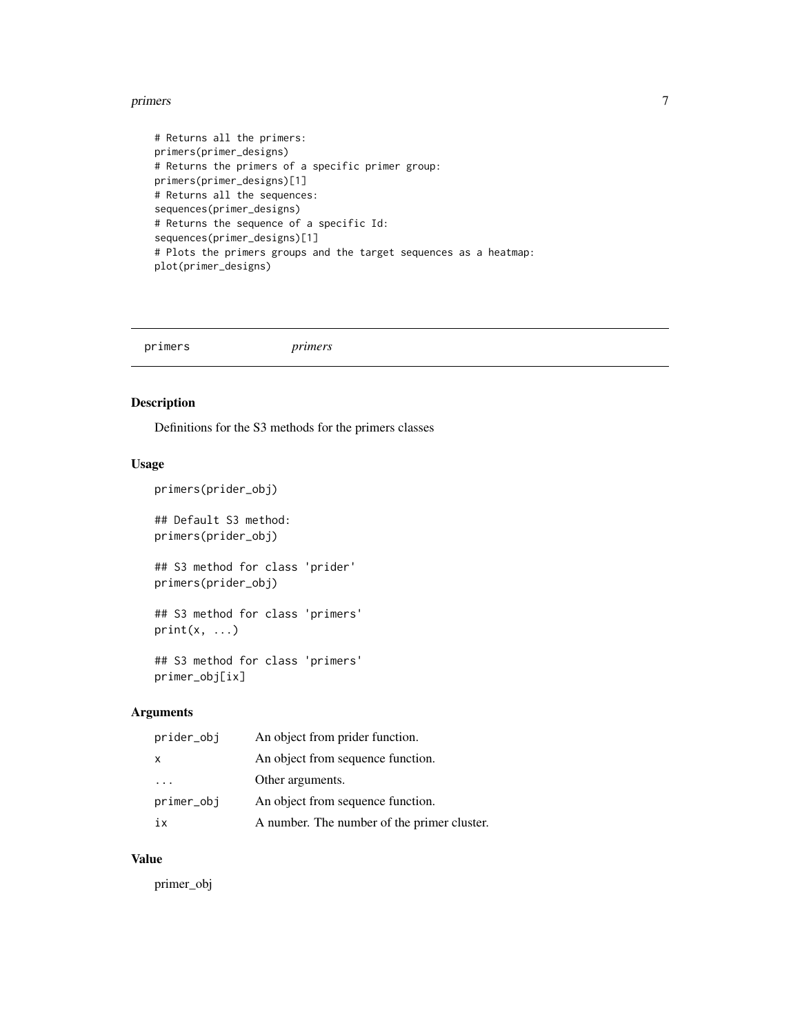#### <span id="page-6-0"></span>primers **7**

```
# Returns all the primers:
primers(primer_designs)
# Returns the primers of a specific primer group:
primers(primer_designs)[1]
# Returns all the sequences:
sequences(primer_designs)
# Returns the sequence of a specific Id:
sequences(primer_designs)[1]
# Plots the primers groups and the target sequences as a heatmap:
plot(primer_designs)
```
primers *primers*

## Description

Definitions for the S3 methods for the primers classes

#### Usage

```
primers(prider_obj)
## Default S3 method:
primers(prider_obj)
## S3 method for class 'prider'
primers(prider_obj)
## S3 method for class 'primers'
print(x, \ldots)## S3 method for class 'primers'
```
primer\_obj[ix]

## Arguments

| prider_obj   | An object from prider function.             |
|--------------|---------------------------------------------|
| $\mathsf{x}$ | An object from sequence function.           |
| $\cdots$     | Other arguments.                            |
| primer_obj   | An object from sequence function.           |
| iх           | A number. The number of the primer cluster. |

## Value

primer\_obj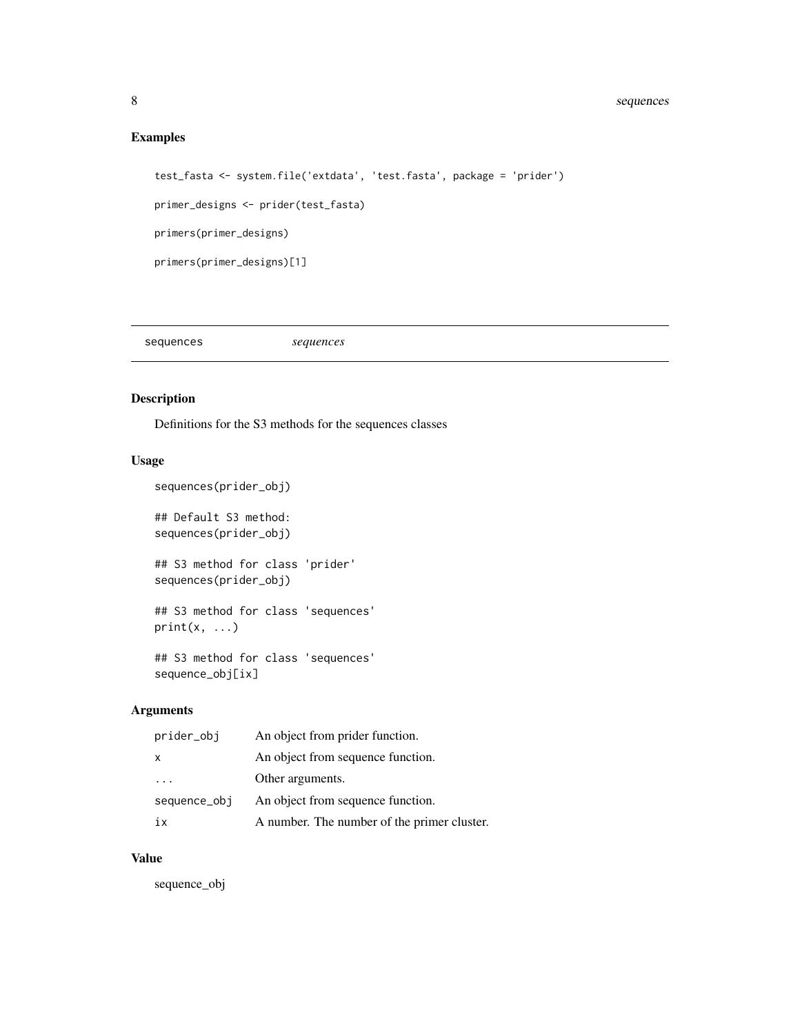## <span id="page-7-0"></span>Examples

```
test_fasta <- system.file('extdata', 'test.fasta', package = 'prider')
primer_designs <- prider(test_fasta)
primers(primer_designs)
primers(primer_designs)[1]
```
sequences *sequences*

## Description

Definitions for the S3 methods for the sequences classes

## Usage

```
sequences(prider_obj)
## Default S3 method:
sequences(prider_obj)
## S3 method for class 'prider'
sequences(prider_obj)
## S3 method for class 'sequences'
print(x, \ldots)## S3 method for class 'sequences'
sequence_obj[ix]
```
## Arguments

| prider_obj   | An object from prider function.             |
|--------------|---------------------------------------------|
| $\mathsf{x}$ | An object from sequence function.           |
| $\cdots$     | Other arguments.                            |
| sequence_obj | An object from sequence function.           |
| 1X           | A number. The number of the primer cluster. |

#### Value

sequence\_obj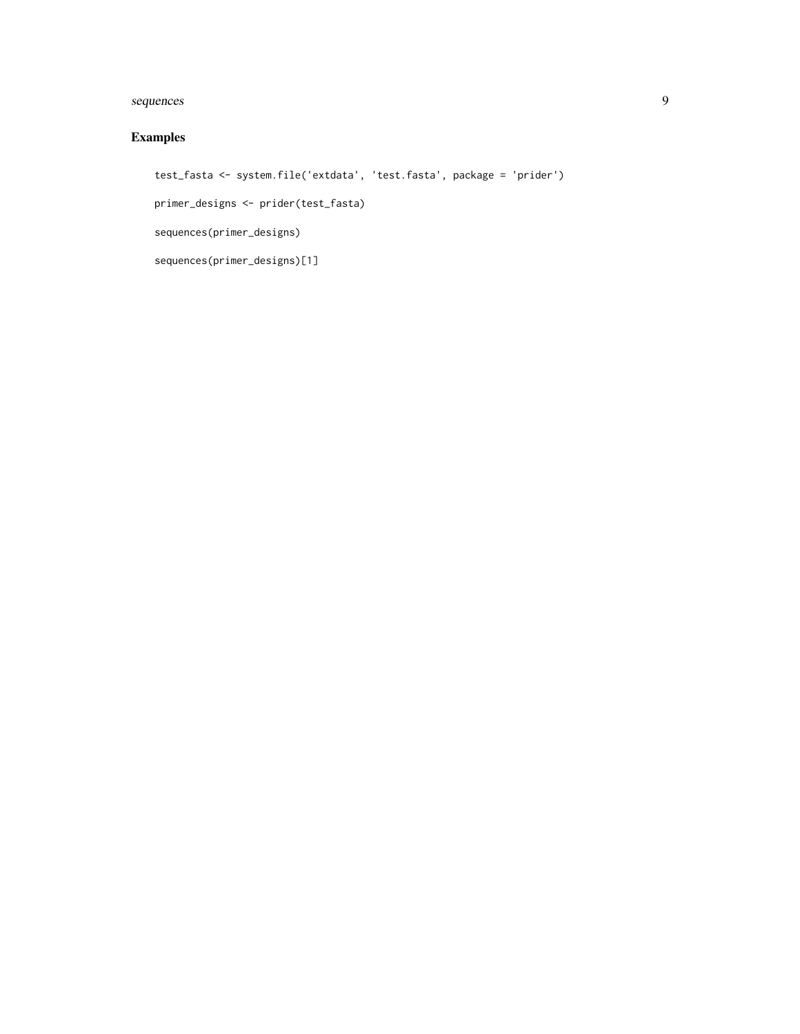## sequences 9

## Examples

```
test_fasta <- system.file('extdata', 'test.fasta', package = 'prider')
primer_designs <- prider(test_fasta)
sequences(primer_designs)
sequences(primer_designs)[1]
```